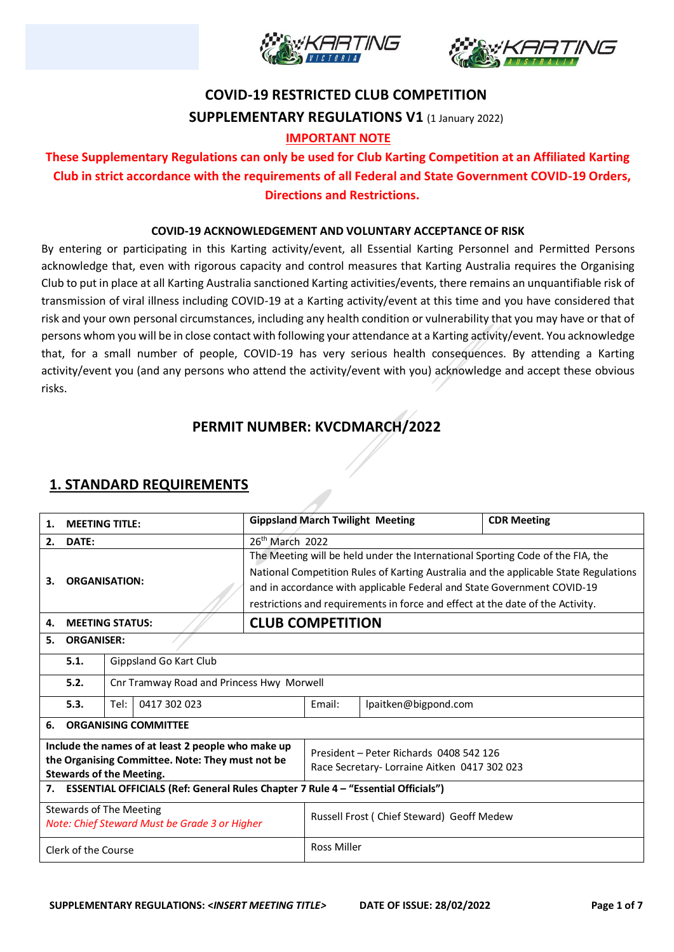



# **COVID-19 RESTRICTED CLUB COMPETITION SUPPLEMENTARY REGULATIONS V1** (1 January 2022)

#### **IMPORTANT NOTE**

### **These Supplementary Regulations can only be used for Club Karting Competition at an Affiliated Karting Club in strict accordance with the requirements of all Federal and State Government COVID-19 Orders, Directions and Restrictions.**

#### **COVID-19 ACKNOWLEDGEMENT AND VOLUNTARY ACCEPTANCE OF RISK**

By entering or participating in this Karting activity/event, all Essential Karting Personnel and Permitted Persons acknowledge that, even with rigorous capacity and control measures that Karting Australia requires the Organising Club to put in place at all Karting Australia sanctioned Karting activities/events, there remains an unquantifiable risk of transmission of viral illness including COVID-19 at a Karting activity/event at this time and you have considered that risk and your own personal circumstances, including any health condition or vulnerability that you may have or that of persons whom you will be in close contact with following your attendance at a Karting activity/event. You acknowledge that, for a small number of people, COVID-19 has very serious health consequences. By attending a Karting activity/event you (and any persons who attend the activity/event with you) acknowledge and accept these obvious risks.

### **PERMIT NUMBER: KVCDMARCH/2022**

### **1. STANDARD REQUIREMENTS**

| <b>MEETING TITLE:</b><br>1.                                                         |                                                                                   |                                           |                                                                         |                                                                                | <b>Gippsland March Twilight Meeting</b> | <b>CDR Meeting</b>                                                                   |  |  |
|-------------------------------------------------------------------------------------|-----------------------------------------------------------------------------------|-------------------------------------------|-------------------------------------------------------------------------|--------------------------------------------------------------------------------|-----------------------------------------|--------------------------------------------------------------------------------------|--|--|
| 2.                                                                                  | 26 <sup>th</sup> March 2022<br>DATE:                                              |                                           |                                                                         |                                                                                |                                         |                                                                                      |  |  |
|                                                                                     |                                                                                   |                                           |                                                                         |                                                                                |                                         | The Meeting will be held under the International Sporting Code of the FIA, the       |  |  |
|                                                                                     |                                                                                   |                                           |                                                                         |                                                                                |                                         | National Competition Rules of Karting Australia and the applicable State Regulations |  |  |
| З.                                                                                  |                                                                                   | <b>ORGANISATION:</b>                      | and in accordance with applicable Federal and State Government COVID-19 |                                                                                |                                         |                                                                                      |  |  |
|                                                                                     |                                                                                   |                                           |                                                                         | restrictions and requirements in force and effect at the date of the Activity. |                                         |                                                                                      |  |  |
| 4.                                                                                  |                                                                                   | <b>MEETING STATUS:</b>                    | <b>CLUB COMPETITION</b>                                                 |                                                                                |                                         |                                                                                      |  |  |
| <b>ORGANISER:</b><br>5.                                                             |                                                                                   |                                           |                                                                         |                                                                                |                                         |                                                                                      |  |  |
|                                                                                     | Gippsland Go Kart Club<br>5.1.                                                    |                                           |                                                                         |                                                                                |                                         |                                                                                      |  |  |
|                                                                                     | 5.2.                                                                              | Cnr Tramway Road and Princess Hwy Morwell |                                                                         |                                                                                |                                         |                                                                                      |  |  |
| 0417 302 023<br>5.3.<br>Tel:                                                        |                                                                                   |                                           | Email:                                                                  | lpaitken@bigpond.com                                                           |                                         |                                                                                      |  |  |
| 6.                                                                                  | <b>ORGANISING COMMITTEE</b>                                                       |                                           |                                                                         |                                                                                |                                         |                                                                                      |  |  |
| Include the names of at least 2 people who make up                                  |                                                                                   |                                           | President - Peter Richards 0408 542 126                                 |                                                                                |                                         |                                                                                      |  |  |
| the Organising Committee. Note: They must not be<br><b>Stewards of the Meeting.</b> |                                                                                   |                                           | Race Secretary-Lorraine Aitken 0417 302 023                             |                                                                                |                                         |                                                                                      |  |  |
| 7.                                                                                  | ESSENTIAL OFFICIALS (Ref: General Rules Chapter 7 Rule 4 - "Essential Officials") |                                           |                                                                         |                                                                                |                                         |                                                                                      |  |  |
| <b>Stewards of The Meeting</b><br>Note: Chief Steward Must be Grade 3 or Higher     |                                                                                   |                                           |                                                                         | Russell Frost (Chief Steward) Geoff Medew                                      |                                         |                                                                                      |  |  |
| Clerk of the Course                                                                 |                                                                                   |                                           | <b>Ross Miller</b>                                                      |                                                                                |                                         |                                                                                      |  |  |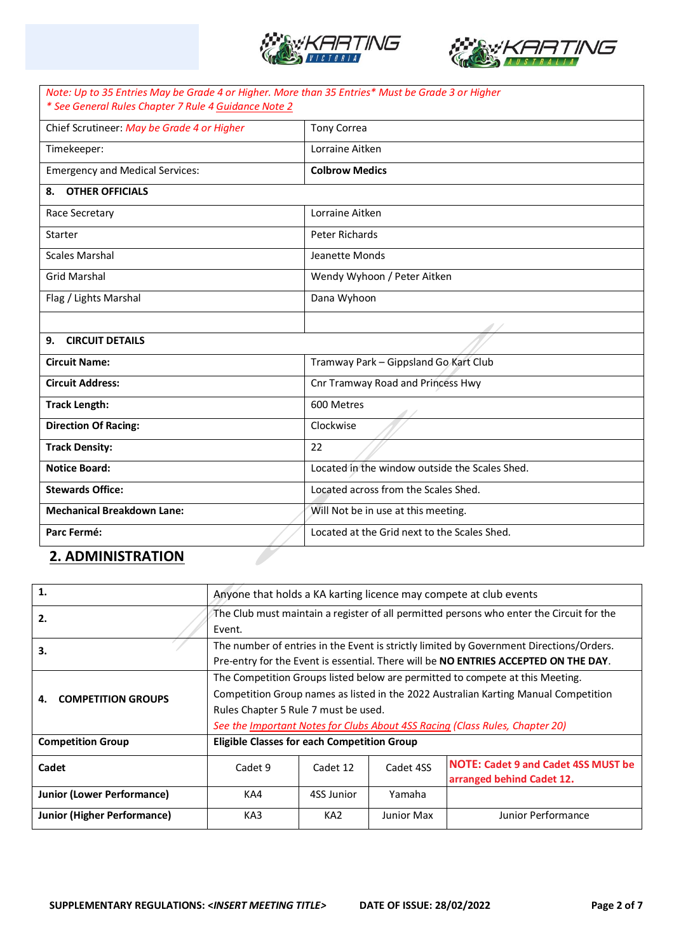



| Note: Up to 35 Entries May be Grade 4 or Higher. More than 35 Entries* Must be Grade 3 or Higher<br>* See General Rules Chapter 7 Rule 4 Guidance Note 2 |                                                |  |  |  |
|----------------------------------------------------------------------------------------------------------------------------------------------------------|------------------------------------------------|--|--|--|
| Chief Scrutineer: May be Grade 4 or Higher                                                                                                               | <b>Tony Correa</b>                             |  |  |  |
| Timekeeper:                                                                                                                                              | Lorraine Aitken                                |  |  |  |
| <b>Emergency and Medical Services:</b>                                                                                                                   | <b>Colbrow Medics</b>                          |  |  |  |
| <b>OTHER OFFICIALS</b><br>8.                                                                                                                             |                                                |  |  |  |
| Race Secretary                                                                                                                                           | Lorraine Aitken                                |  |  |  |
| Starter                                                                                                                                                  | Peter Richards                                 |  |  |  |
| <b>Scales Marshal</b>                                                                                                                                    | Jeanette Monds                                 |  |  |  |
| <b>Grid Marshal</b>                                                                                                                                      | Wendy Wyhoon / Peter Aitken                    |  |  |  |
| Flag / Lights Marshal                                                                                                                                    | Dana Wyhoon                                    |  |  |  |
|                                                                                                                                                          |                                                |  |  |  |
| <b>CIRCUIT DETAILS</b><br>9.                                                                                                                             |                                                |  |  |  |
| <b>Circuit Name:</b>                                                                                                                                     | Tramway Park - Gippsland Go Kart Club          |  |  |  |
| <b>Circuit Address:</b>                                                                                                                                  | Cnr Tramway Road and Princess Hwy              |  |  |  |
| <b>Track Length:</b>                                                                                                                                     | 600 Metres                                     |  |  |  |
| <b>Direction Of Racing:</b>                                                                                                                              | Clockwise                                      |  |  |  |
| <b>Track Density:</b>                                                                                                                                    | 22                                             |  |  |  |
| <b>Notice Board:</b>                                                                                                                                     | Located in the window outside the Scales Shed. |  |  |  |
| <b>Stewards Office:</b>                                                                                                                                  | Located across from the Scales Shed.           |  |  |  |
| <b>Mechanical Breakdown Lane:</b>                                                                                                                        | Will Not be in use at this meeting.            |  |  |  |
| Parc Fermé:                                                                                                                                              | Located at the Grid next to the Scales Shed.   |  |  |  |
| <b>2. ADMINISTRATION</b>                                                                                                                                 |                                                |  |  |  |

## **2. ADMINISTRATION**

| 1.                                | Anyone that holds a KA karting licence may compete at club events                                                                                                                                                                                                                            |                 |            |                                                                                                                                                                                |  |
|-----------------------------------|----------------------------------------------------------------------------------------------------------------------------------------------------------------------------------------------------------------------------------------------------------------------------------------------|-----------------|------------|--------------------------------------------------------------------------------------------------------------------------------------------------------------------------------|--|
| 2.                                | The Club must maintain a register of all permitted persons who enter the Circuit for the<br>Event.                                                                                                                                                                                           |                 |            |                                                                                                                                                                                |  |
| 3.                                |                                                                                                                                                                                                                                                                                              |                 |            | The number of entries in the Event is strictly limited by Government Directions/Orders.<br>Pre-entry for the Event is essential. There will be NO ENTRIES ACCEPTED ON THE DAY. |  |
| <b>COMPETITION GROUPS</b><br>4.   | The Competition Groups listed below are permitted to compete at this Meeting.<br>Competition Group names as listed in the 2022 Australian Karting Manual Competition<br>Rules Chapter 5 Rule 7 must be used.<br>See the Important Notes for Clubs About 4SS Racing (Class Rules, Chapter 20) |                 |            |                                                                                                                                                                                |  |
| <b>Competition Group</b>          | Eligible Classes for each Competition Group                                                                                                                                                                                                                                                  |                 |            |                                                                                                                                                                                |  |
| Cadet                             | Cadet 9                                                                                                                                                                                                                                                                                      | Cadet 12        | Cadet 4SS  | <b>NOTE: Cadet 9 and Cadet 4SS MUST be</b><br>arranged behind Cadet 12.                                                                                                        |  |
| <b>Junior (Lower Performance)</b> | KA4                                                                                                                                                                                                                                                                                          | 4SS Junior      | Yamaha     |                                                                                                                                                                                |  |
| Junior (Higher Performance)       | KA3                                                                                                                                                                                                                                                                                          | KA <sub>2</sub> | Junior Max | Junior Performance                                                                                                                                                             |  |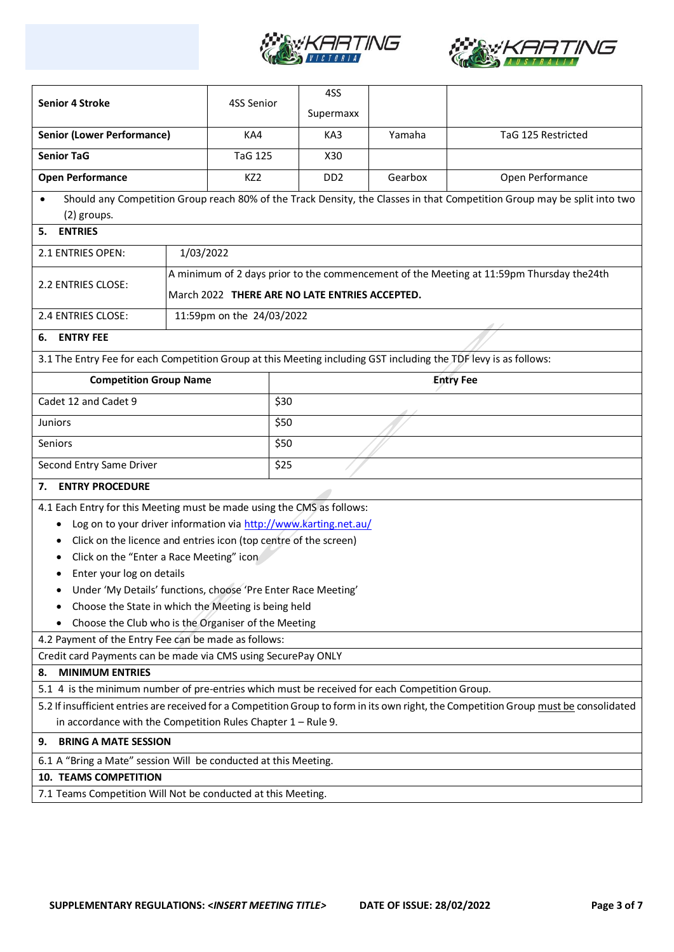



| <b>Senior 4 Stroke</b>                                                                                                                                                                                                                 | 4SS Senior                                                                                                  |      | 4SS<br>Supermaxx |         |                                                                                                                          |  |  |
|----------------------------------------------------------------------------------------------------------------------------------------------------------------------------------------------------------------------------------------|-------------------------------------------------------------------------------------------------------------|------|------------------|---------|--------------------------------------------------------------------------------------------------------------------------|--|--|
| <b>Senior (Lower Performance)</b>                                                                                                                                                                                                      | KA4                                                                                                         |      | KA3              | Yamaha  | TaG 125 Restricted                                                                                                       |  |  |
| <b>Senior TaG</b>                                                                                                                                                                                                                      | <b>TaG 125</b>                                                                                              |      | X30              |         |                                                                                                                          |  |  |
| <b>Open Performance</b>                                                                                                                                                                                                                | KZ <sub>2</sub>                                                                                             |      | DD2              | Gearbox | Open Performance                                                                                                         |  |  |
| (2) groups.                                                                                                                                                                                                                            |                                                                                                             |      |                  |         | Should any Competition Group reach 80% of the Track Density, the Classes in that Competition Group may be split into two |  |  |
| <b>ENTRIES</b><br>5.                                                                                                                                                                                                                   |                                                                                                             |      |                  |         |                                                                                                                          |  |  |
| 2.1 ENTRIES OPEN:                                                                                                                                                                                                                      | 1/03/2022                                                                                                   |      |                  |         |                                                                                                                          |  |  |
|                                                                                                                                                                                                                                        |                                                                                                             |      |                  |         | A minimum of 2 days prior to the commencement of the Meeting at 11:59pm Thursday the24th                                 |  |  |
| 2.2 ENTRIES CLOSE:                                                                                                                                                                                                                     | March 2022 THERE ARE NO LATE ENTRIES ACCEPTED.                                                              |      |                  |         |                                                                                                                          |  |  |
| 2.4 ENTRIES CLOSE:                                                                                                                                                                                                                     | 11:59pm on the 24/03/2022                                                                                   |      |                  |         |                                                                                                                          |  |  |
| <b>ENTRY FEE</b><br>6.                                                                                                                                                                                                                 |                                                                                                             |      |                  |         |                                                                                                                          |  |  |
| 3.1 The Entry Fee for each Competition Group at this Meeting including GST including the TDF levy is as follows:                                                                                                                       |                                                                                                             |      |                  |         |                                                                                                                          |  |  |
| <b>Competition Group Name</b>                                                                                                                                                                                                          |                                                                                                             |      |                  |         | <b>Entry Fee</b>                                                                                                         |  |  |
| Cadet 12 and Cadet 9                                                                                                                                                                                                                   |                                                                                                             | \$30 |                  |         |                                                                                                                          |  |  |
| <b>Juniors</b>                                                                                                                                                                                                                         |                                                                                                             | \$50 |                  |         |                                                                                                                          |  |  |
| Seniors                                                                                                                                                                                                                                |                                                                                                             | \$50 |                  |         |                                                                                                                          |  |  |
| Second Entry Same Driver                                                                                                                                                                                                               |                                                                                                             |      |                  |         |                                                                                                                          |  |  |
| <b>ENTRY PROCEDURE</b><br>7.                                                                                                                                                                                                           |                                                                                                             |      |                  |         |                                                                                                                          |  |  |
| 4.1 Each Entry for this Meeting must be made using the CMS as follows:                                                                                                                                                                 |                                                                                                             |      |                  |         |                                                                                                                          |  |  |
|                                                                                                                                                                                                                                        | Log on to your driver information via http://www.karting.net.au/                                            |      |                  |         |                                                                                                                          |  |  |
|                                                                                                                                                                                                                                        | Click on the licence and entries icon (top centre of the screen)                                            |      |                  |         |                                                                                                                          |  |  |
| Click on the "Enter a Race Meeting" icon                                                                                                                                                                                               |                                                                                                             |      |                  |         |                                                                                                                          |  |  |
| Enter your log on details                                                                                                                                                                                                              |                                                                                                             |      |                  |         |                                                                                                                          |  |  |
|                                                                                                                                                                                                                                        | Under 'My Details' functions, choose 'Pre Enter Race Meeting'                                               |      |                  |         |                                                                                                                          |  |  |
|                                                                                                                                                                                                                                        | Choose the State in which the Meeting is being held                                                         |      |                  |         |                                                                                                                          |  |  |
|                                                                                                                                                                                                                                        | Choose the Club who is the Organiser of the Meeting<br>4.2 Payment of the Entry Fee can be made as follows: |      |                  |         |                                                                                                                          |  |  |
|                                                                                                                                                                                                                                        |                                                                                                             |      |                  |         |                                                                                                                          |  |  |
| Credit card Payments can be made via CMS using SecurePay ONLY<br><b>MINIMUM ENTRIES</b><br>8.                                                                                                                                          |                                                                                                             |      |                  |         |                                                                                                                          |  |  |
|                                                                                                                                                                                                                                        |                                                                                                             |      |                  |         |                                                                                                                          |  |  |
| 5.1 4 is the minimum number of pre-entries which must be received for each Competition Group.<br>5.2 If insufficient entries are received for a Competition Group to form in its own right, the Competition Group must be consolidated |                                                                                                             |      |                  |         |                                                                                                                          |  |  |
|                                                                                                                                                                                                                                        | in accordance with the Competition Rules Chapter $1 -$ Rule 9.                                              |      |                  |         |                                                                                                                          |  |  |
| <b>BRING A MATE SESSION</b><br>9.                                                                                                                                                                                                      |                                                                                                             |      |                  |         |                                                                                                                          |  |  |
| 6.1 A "Bring a Mate" session Will be conducted at this Meeting.                                                                                                                                                                        |                                                                                                             |      |                  |         |                                                                                                                          |  |  |
| <b>10. TEAMS COMPETITION</b>                                                                                                                                                                                                           |                                                                                                             |      |                  |         |                                                                                                                          |  |  |
| 7.1 Teams Competition Will Not be conducted at this Meeting.                                                                                                                                                                           |                                                                                                             |      |                  |         |                                                                                                                          |  |  |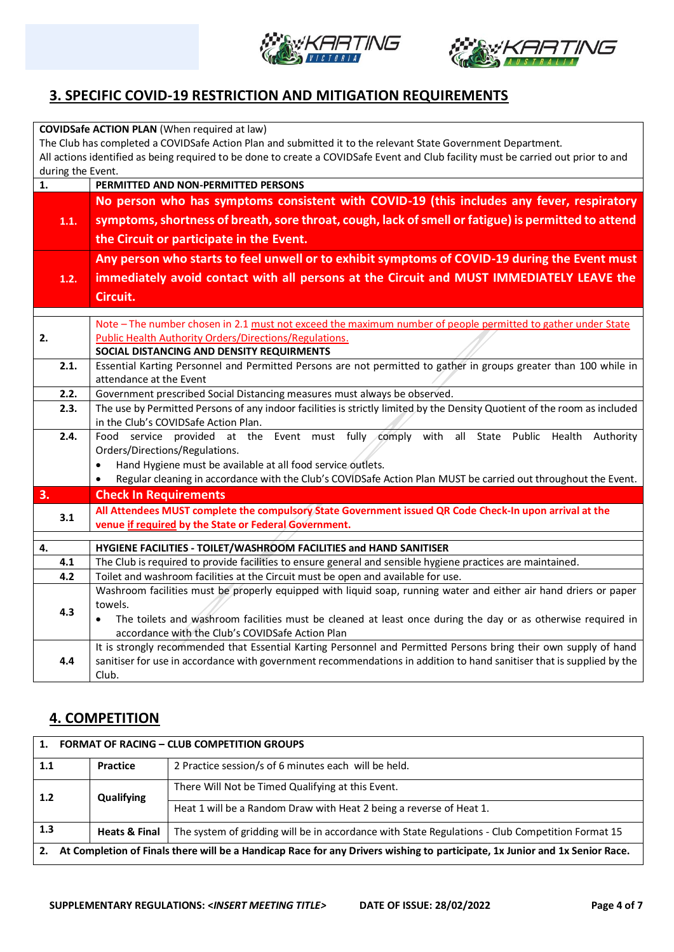



### **3. SPECIFIC COVID-19 RESTRICTION AND MITIGATION REQUIREMENTS**

|                                                                                                                                    | <b>COVIDSafe ACTION PLAN (When required at law)</b>                                                                                                                                                    |  |  |  |  |  |
|------------------------------------------------------------------------------------------------------------------------------------|--------------------------------------------------------------------------------------------------------------------------------------------------------------------------------------------------------|--|--|--|--|--|
|                                                                                                                                    | The Club has completed a COVIDSafe Action Plan and submitted it to the relevant State Government Department.                                                                                           |  |  |  |  |  |
| All actions identified as being required to be done to create a COVIDSafe Event and Club facility must be carried out prior to and |                                                                                                                                                                                                        |  |  |  |  |  |
| during the Event.                                                                                                                  |                                                                                                                                                                                                        |  |  |  |  |  |
| 1.                                                                                                                                 | PERMITTED AND NON-PERMITTED PERSONS                                                                                                                                                                    |  |  |  |  |  |
|                                                                                                                                    | No person who has symptoms consistent with COVID-19 (this includes any fever, respiratory                                                                                                              |  |  |  |  |  |
| 1.1.                                                                                                                               | symptoms, shortness of breath, sore throat, cough, lack of smell or fatigue) is permitted to attend                                                                                                    |  |  |  |  |  |
|                                                                                                                                    |                                                                                                                                                                                                        |  |  |  |  |  |
|                                                                                                                                    | the Circuit or participate in the Event.                                                                                                                                                               |  |  |  |  |  |
|                                                                                                                                    | Any person who starts to feel unwell or to exhibit symptoms of COVID-19 during the Event must                                                                                                          |  |  |  |  |  |
| 1.2.                                                                                                                               | immediately avoid contact with all persons at the Circuit and MUST IMMEDIATELY LEAVE the                                                                                                               |  |  |  |  |  |
|                                                                                                                                    | Circuit.                                                                                                                                                                                               |  |  |  |  |  |
|                                                                                                                                    |                                                                                                                                                                                                        |  |  |  |  |  |
|                                                                                                                                    | Note - The number chosen in 2.1 must not exceed the maximum number of people permitted to gather under State                                                                                           |  |  |  |  |  |
| 2.                                                                                                                                 | <b>Public Health Authority Orders/Directions/Regulations.</b>                                                                                                                                          |  |  |  |  |  |
|                                                                                                                                    | SOCIAL DISTANCING AND DENSITY REQUIRMENTS                                                                                                                                                              |  |  |  |  |  |
| 2.1.                                                                                                                               | Essential Karting Personnel and Permitted Persons are not permitted to gather in groups greater than 100 while in                                                                                      |  |  |  |  |  |
|                                                                                                                                    | attendance at the Event                                                                                                                                                                                |  |  |  |  |  |
| 2.2.<br>2.3.                                                                                                                       | Government prescribed Social Distancing measures must always be observed.<br>The use by Permitted Persons of any indoor facilities is strictly limited by the Density Quotient of the room as included |  |  |  |  |  |
|                                                                                                                                    | in the Club's COVIDSafe Action Plan.                                                                                                                                                                   |  |  |  |  |  |
| 2.4.                                                                                                                               | Food service provided at the Event must fully comply with all State Public Health<br>Authority                                                                                                         |  |  |  |  |  |
|                                                                                                                                    | Orders/Directions/Regulations.                                                                                                                                                                         |  |  |  |  |  |
|                                                                                                                                    | Hand Hygiene must be available at all food service outlets.<br>$\bullet$                                                                                                                               |  |  |  |  |  |
|                                                                                                                                    | Regular cleaning in accordance with the Club's COVIDSafe Action Plan MUST be carried out throughout the Event.                                                                                         |  |  |  |  |  |
| 3.                                                                                                                                 | <b>Check In Requirements</b>                                                                                                                                                                           |  |  |  |  |  |
|                                                                                                                                    | All Attendees MUST complete the compulsory State Government issued QR Code Check-In upon arrival at the                                                                                                |  |  |  |  |  |
| 3.1                                                                                                                                | venue if required by the State or Federal Government.                                                                                                                                                  |  |  |  |  |  |
|                                                                                                                                    |                                                                                                                                                                                                        |  |  |  |  |  |
| 4.<br>4.1                                                                                                                          | HYGIENE FACILITIES - TOILET/WASHROOM FACILITIES and HAND SANITISER<br>The Club is required to provide facilities to ensure general and sensible hygiene practices are maintained.                      |  |  |  |  |  |
| 4.2                                                                                                                                | Toilet and washroom facilities at the Circuit must be open and available for use.                                                                                                                      |  |  |  |  |  |
|                                                                                                                                    | Washroom facilities must be properly equipped with liquid soap, running water and either air hand driers or paper                                                                                      |  |  |  |  |  |
|                                                                                                                                    | towels.                                                                                                                                                                                                |  |  |  |  |  |
| 4.3                                                                                                                                | The toilets and washroom facilities must be cleaned at least once during the day or as otherwise required in                                                                                           |  |  |  |  |  |
|                                                                                                                                    | accordance with the Club's COVIDSafe Action Plan                                                                                                                                                       |  |  |  |  |  |
|                                                                                                                                    | It is strongly recommended that Essential Karting Personnel and Permitted Persons bring their own supply of hand                                                                                       |  |  |  |  |  |
| 4.4                                                                                                                                | sanitiser for use in accordance with government recommendations in addition to hand sanitiser that is supplied by the                                                                                  |  |  |  |  |  |
|                                                                                                                                    | Club.                                                                                                                                                                                                  |  |  |  |  |  |

### **4. COMPETITION**

| 1.                                                                                                                                | <b>FORMAT OF RACING - CLUB COMPETITION GROUPS</b> |                                                                                                  |  |  |  |  |
|-----------------------------------------------------------------------------------------------------------------------------------|---------------------------------------------------|--------------------------------------------------------------------------------------------------|--|--|--|--|
| 1.1                                                                                                                               | Practice                                          | 2 Practice session/s of 6 minutes each will be held.                                             |  |  |  |  |
| 1.2                                                                                                                               | Qualifying                                        | There Will Not be Timed Qualifying at this Event.                                                |  |  |  |  |
|                                                                                                                                   |                                                   | Heat 1 will be a Random Draw with Heat 2 being a reverse of Heat 1.                              |  |  |  |  |
| 1.3                                                                                                                               | <b>Heats &amp; Final</b>                          | The system of gridding will be in accordance with State Regulations - Club Competition Format 15 |  |  |  |  |
| At Completion of Finals there will be a Handicap Race for any Drivers wishing to participate, 1x Junior and 1x Senior Race.<br>2. |                                                   |                                                                                                  |  |  |  |  |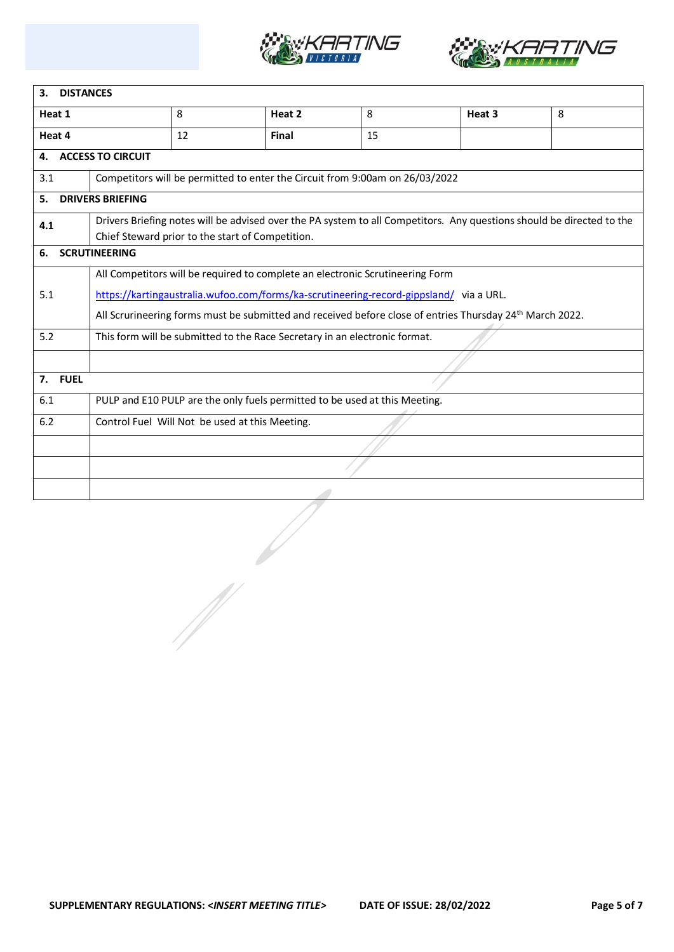



| 3.                                                    | <b>DISTANCES</b>                                                                                                                                                          |                                                                               |        |    |                                                                                                                      |   |  |  |
|-------------------------------------------------------|---------------------------------------------------------------------------------------------------------------------------------------------------------------------------|-------------------------------------------------------------------------------|--------|----|----------------------------------------------------------------------------------------------------------------------|---|--|--|
| Heat 1                                                |                                                                                                                                                                           | 8                                                                             | Heat 2 | 8  | Heat 3                                                                                                               | 8 |  |  |
| Heat 4                                                |                                                                                                                                                                           | 12                                                                            | Final  | 15 |                                                                                                                      |   |  |  |
| 4.                                                    | <b>ACCESS TO CIRCUIT</b>                                                                                                                                                  |                                                                               |        |    |                                                                                                                      |   |  |  |
| 3.1                                                   |                                                                                                                                                                           | Competitors will be permitted to enter the Circuit from 9:00am on 26/03/2022  |        |    |                                                                                                                      |   |  |  |
| 5.                                                    | <b>DRIVERS BRIEFING</b>                                                                                                                                                   |                                                                               |        |    |                                                                                                                      |   |  |  |
| 4.1                                                   | Drivers Briefing notes will be advised over the PA system to all Competitors. Any questions should be directed to the<br>Chief Steward prior to the start of Competition. |                                                                               |        |    |                                                                                                                      |   |  |  |
| 6.                                                    | <b>SCRUTINEERING</b>                                                                                                                                                      |                                                                               |        |    |                                                                                                                      |   |  |  |
|                                                       |                                                                                                                                                                           | All Competitors will be required to complete an electronic Scrutineering Form |        |    |                                                                                                                      |   |  |  |
| 5.1                                                   | https://kartingaustralia.wufoo.com/forms/ka-scrutineering-record-gippsland/ via a URL.                                                                                    |                                                                               |        |    |                                                                                                                      |   |  |  |
|                                                       |                                                                                                                                                                           |                                                                               |        |    | All Scrurineering forms must be submitted and received before close of entries Thursday 24 <sup>th</sup> March 2022. |   |  |  |
| 5.2                                                   | This form will be submitted to the Race Secretary in an electronic format.                                                                                                |                                                                               |        |    |                                                                                                                      |   |  |  |
|                                                       |                                                                                                                                                                           |                                                                               |        |    |                                                                                                                      |   |  |  |
| 7. FUEL                                               |                                                                                                                                                                           |                                                                               |        |    |                                                                                                                      |   |  |  |
| 6.1                                                   | PULP and E10 PULP are the only fuels permitted to be used at this Meeting.                                                                                                |                                                                               |        |    |                                                                                                                      |   |  |  |
| 6.2<br>Control Fuel Will Not be used at this Meeting. |                                                                                                                                                                           |                                                                               |        |    |                                                                                                                      |   |  |  |
|                                                       |                                                                                                                                                                           |                                                                               |        |    |                                                                                                                      |   |  |  |
|                                                       |                                                                                                                                                                           |                                                                               |        |    |                                                                                                                      |   |  |  |
|                                                       |                                                                                                                                                                           |                                                                               |        |    |                                                                                                                      |   |  |  |
|                                                       |                                                                                                                                                                           |                                                                               |        |    |                                                                                                                      |   |  |  |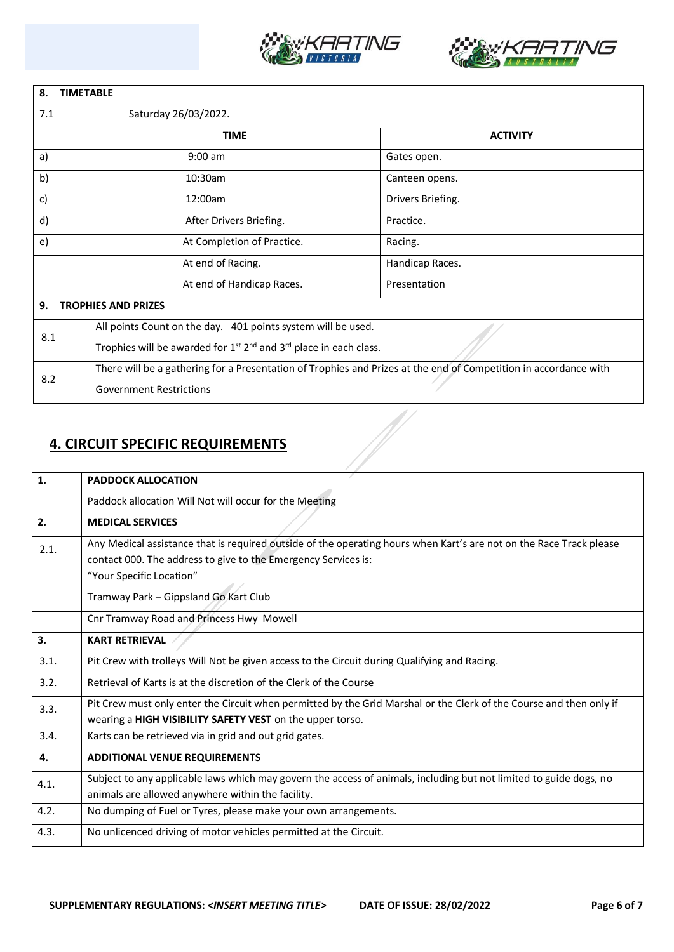



| 8.<br><b>TIMETABLE</b> |                                                                                                                  |                   |  |  |  |  |
|------------------------|------------------------------------------------------------------------------------------------------------------|-------------------|--|--|--|--|
| 7.1                    | Saturday 26/03/2022.                                                                                             |                   |  |  |  |  |
|                        | <b>TIME</b>                                                                                                      | <b>ACTIVITY</b>   |  |  |  |  |
| a)                     | $9:00$ am                                                                                                        | Gates open.       |  |  |  |  |
| b)                     | 10:30am                                                                                                          | Canteen opens.    |  |  |  |  |
| c)                     | 12:00am                                                                                                          | Drivers Briefing. |  |  |  |  |
| d)                     | After Drivers Briefing.                                                                                          | Practice.         |  |  |  |  |
| e)                     | At Completion of Practice.                                                                                       | Racing.           |  |  |  |  |
|                        | At end of Racing.                                                                                                | Handicap Races.   |  |  |  |  |
|                        | At end of Handicap Races.                                                                                        | Presentation      |  |  |  |  |
| 9.                     | <b>TROPHIES AND PRIZES</b>                                                                                       |                   |  |  |  |  |
| 8.1                    | All points Count on the day. 401 points system will be used.                                                     |                   |  |  |  |  |
|                        | Trophies will be awarded for $1^{st}$ $2^{nd}$ and $3^{rd}$ place in each class.                                 |                   |  |  |  |  |
| 8.2                    | There will be a gathering for a Presentation of Trophies and Prizes at the end of Competition in accordance with |                   |  |  |  |  |
|                        | <b>Government Restrictions</b>                                                                                   |                   |  |  |  |  |

## **4. CIRCUIT SPECIFIC REQUIREMENTS**

| 1.   | <b>PADDOCK ALLOCATION</b>                                                                                                                                                             |
|------|---------------------------------------------------------------------------------------------------------------------------------------------------------------------------------------|
|      | Paddock allocation Will Not will occur for the Meeting                                                                                                                                |
| 2.   | <b>MEDICAL SERVICES</b>                                                                                                                                                               |
| 2.1. | Any Medical assistance that is required outside of the operating hours when Kart's are not on the Race Track please<br>contact 000. The address to give to the Emergency Services is: |
|      | "Your Specific Location"                                                                                                                                                              |
|      | Tramway Park - Gippsland Go Kart Club                                                                                                                                                 |
|      | Cnr Tramway Road and Princess Hwy Mowell                                                                                                                                              |
| 3.   | <b>KART RETRIEVAL</b>                                                                                                                                                                 |
| 3.1. | Pit Crew with trolleys Will Not be given access to the Circuit during Qualifying and Racing.                                                                                          |
| 3.2. | Retrieval of Karts is at the discretion of the Clerk of the Course                                                                                                                    |
| 3.3. | Pit Crew must only enter the Circuit when permitted by the Grid Marshal or the Clerk of the Course and then only if<br>wearing a HIGH VISIBILITY SAFETY VEST on the upper torso.      |
| 3.4. | Karts can be retrieved via in grid and out grid gates.                                                                                                                                |
| 4.   | <b>ADDITIONAL VENUE REQUIREMENTS</b>                                                                                                                                                  |
| 4.1. | Subject to any applicable laws which may govern the access of animals, including but not limited to guide dogs, no<br>animals are allowed anywhere within the facility.               |
| 4.2. | No dumping of Fuel or Tyres, please make your own arrangements.                                                                                                                       |
| 4.3. | No unlicenced driving of motor vehicles permitted at the Circuit.                                                                                                                     |